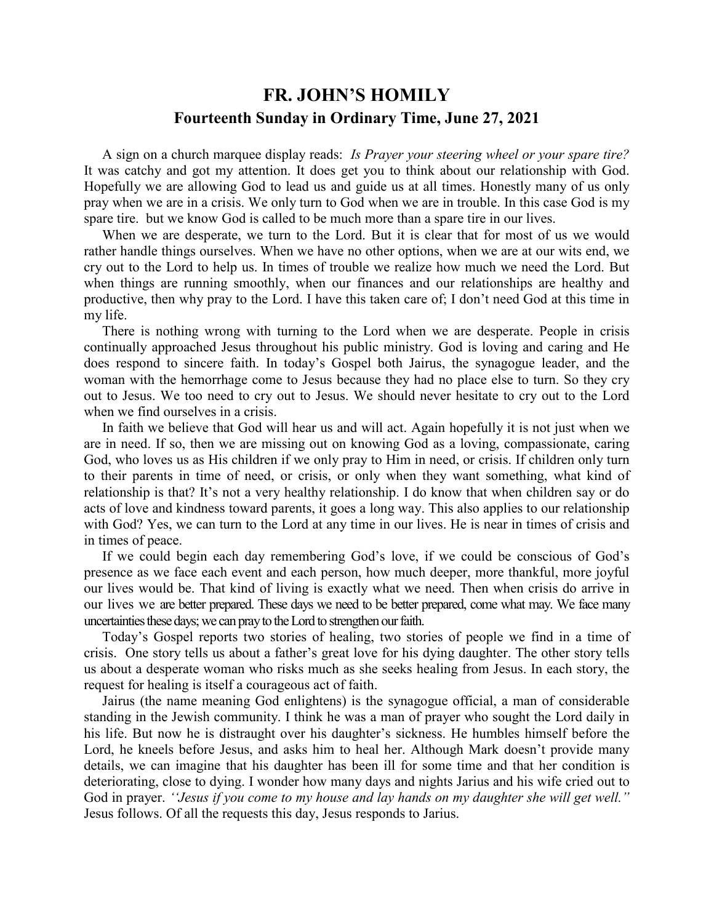## **FR. JOHN'S HOMILY Fourteenth Sunday in Ordinary Time, June 27, 2021**

 A sign on a church marquee display reads: *Is Prayer your steering wheel or your spare tire?* It was catchy and got my attention. It does get you to think about our relationship with God. Hopefully we are allowing God to lead us and guide us at all times. Honestly many of us only pray when we are in a crisis. We only turn to God when we are in trouble. In this case God is my spare tire. but we know God is called to be much more than a spare tire in our lives.

 When we are desperate, we turn to the Lord. But it is clear that for most of us we would rather handle things ourselves. When we have no other options, when we are at our wits end, we cry out to the Lord to help us. In times of trouble we realize how much we need the Lord. But when things are running smoothly, when our finances and our relationships are healthy and productive, then why pray to the Lord. I have this taken care of; I don't need God at this time in my life.

 There is nothing wrong with turning to the Lord when we are desperate. People in crisis continually approached Jesus throughout his public ministry. God is loving and caring and He does respond to sincere faith. In today's Gospel both Jairus, the synagogue leader, and the woman with the hemorrhage come to Jesus because they had no place else to turn. So they cry out to Jesus. We too need to cry out to Jesus. We should never hesitate to cry out to the Lord when we find ourselves in a crisis.

 In faith we believe that God will hear us and will act. Again hopefully it is not just when we are in need. If so, then we are missing out on knowing God as a loving, compassionate, caring God, who loves us as His children if we only pray to Him in need, or crisis. If children only turn to their parents in time of need, or crisis, or only when they want something, what kind of relationship is that? It's not a very healthy relationship. I do know that when children say or do acts of love and kindness toward parents, it goes a long way. This also applies to our relationship with God? Yes, we can turn to the Lord at any time in our lives. He is near in times of crisis and in times of peace.

 If we could begin each day remembering God's love, if we could be conscious of God's presence as we face each event and each person, how much deeper, more thankful, more joyful our lives would be. That kind of living is exactly what we need. Then when crisis do arrive in our lives we are better prepared. These days we need to be better prepared, come what may. We face many uncertainties these days; we can pray to the Lord to strengthen our faith.

 Today's Gospel reports two stories of healing, two stories of people we find in a time of crisis. One story tells us about a father's great love for his dying daughter. The other story tells us about a desperate woman who risks much as she seeks healing from Jesus. In each story, the request for healing is itself a courageous act of faith.

 Jairus (the name meaning God enlightens) is the synagogue official, a man of considerable standing in the Jewish community. I think he was a man of prayer who sought the Lord daily in his life. But now he is distraught over his daughter's sickness. He humbles himself before the Lord, he kneels before Jesus, and asks him to heal her. Although Mark doesn't provide many details, we can imagine that his daughter has been ill for some time and that her condition is deteriorating, close to dying. I wonder how many days and nights Jarius and his wife cried out to God in prayer. *''Jesus if you come to my house and lay hands on my daughter she will get well."* Jesus follows. Of all the requests this day, Jesus responds to Jarius.